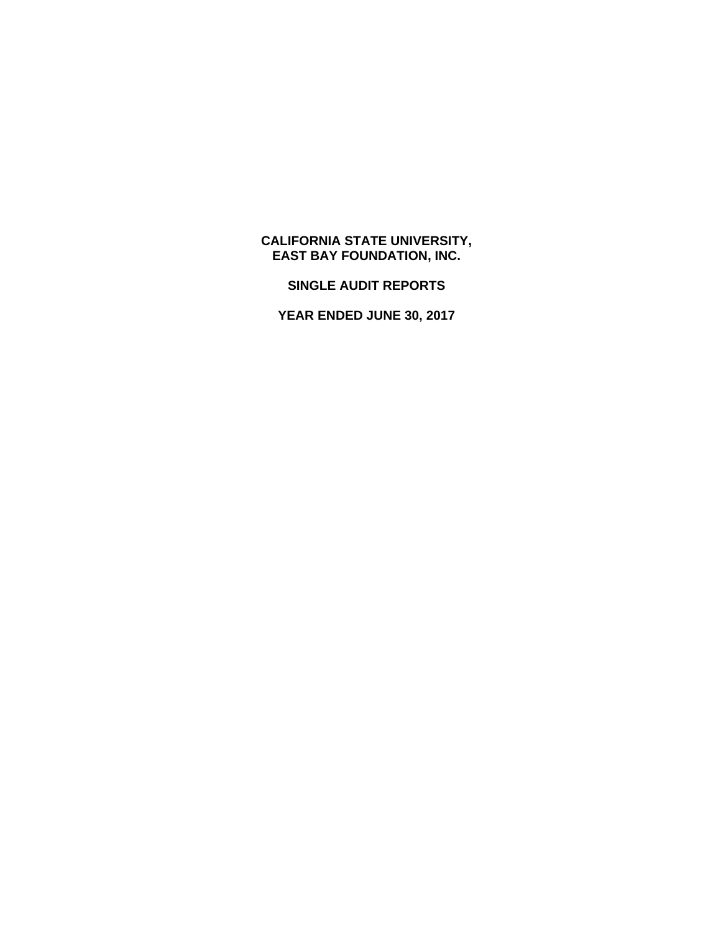#### **CALIFORNIA STATE UNIVERSITY, EAST BAY FOUNDATION, INC.**

**SINGLE AUDIT REPORTS** 

**YEAR ENDED JUNE 30, 2017**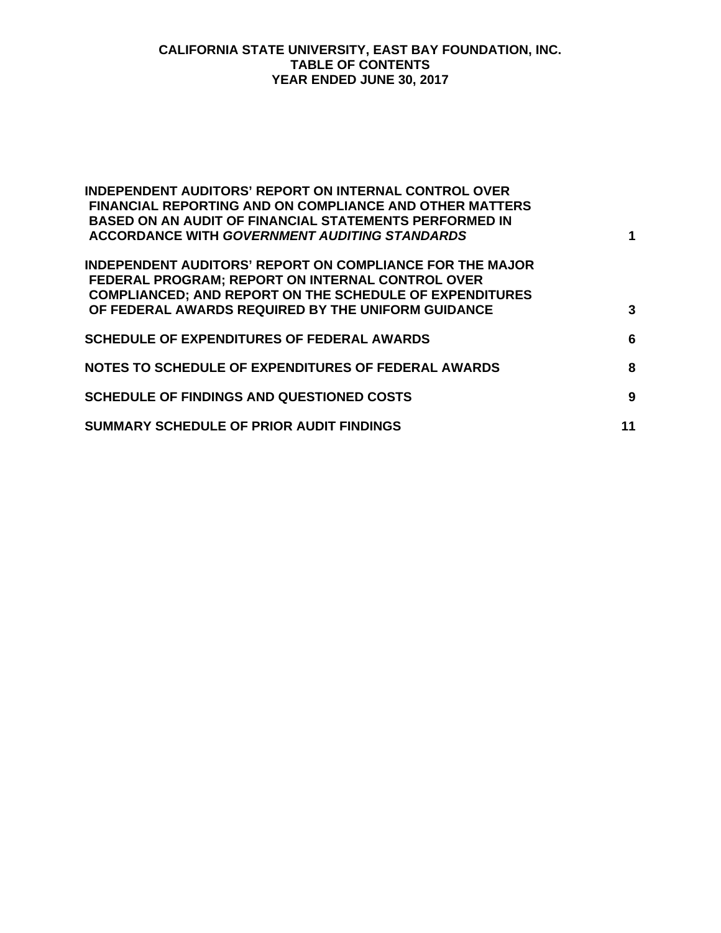## **CALIFORNIA STATE UNIVERSITY, EAST BAY FOUNDATION, INC. TABLE OF CONTENTS YEAR ENDED JUNE 30, 2017**

| <b>FINANCIAL REPORTING AND ON COMPLIANCE AND OTHER MATTERS</b><br><b>BASED ON AN AUDIT OF FINANCIAL STATEMENTS PERFORMED IN</b><br><b>ACCORDANCE WITH GOVERNMENT AUDITING STANDARDS</b>                                                            |    |
|----------------------------------------------------------------------------------------------------------------------------------------------------------------------------------------------------------------------------------------------------|----|
| <b>INDEPENDENT AUDITORS' REPORT ON COMPLIANCE FOR THE MAJOR</b><br><b>FEDERAL PROGRAM; REPORT ON INTERNAL CONTROL OVER</b><br><b>COMPLIANCED; AND REPORT ON THE SCHEDULE OF EXPENDITURES</b><br>OF FEDERAL AWARDS REQUIRED BY THE UNIFORM GUIDANCE | 3  |
| <b>SCHEDULE OF EXPENDITURES OF FEDERAL AWARDS</b>                                                                                                                                                                                                  | 6  |
| NOTES TO SCHEDULE OF EXPENDITURES OF FEDERAL AWARDS                                                                                                                                                                                                | 8  |
| <b>SCHEDULE OF FINDINGS AND QUESTIONED COSTS</b>                                                                                                                                                                                                   | 9  |
| SUMMARY SCHEDULE OF PRIOR AUDIT FINDINGS                                                                                                                                                                                                           | 11 |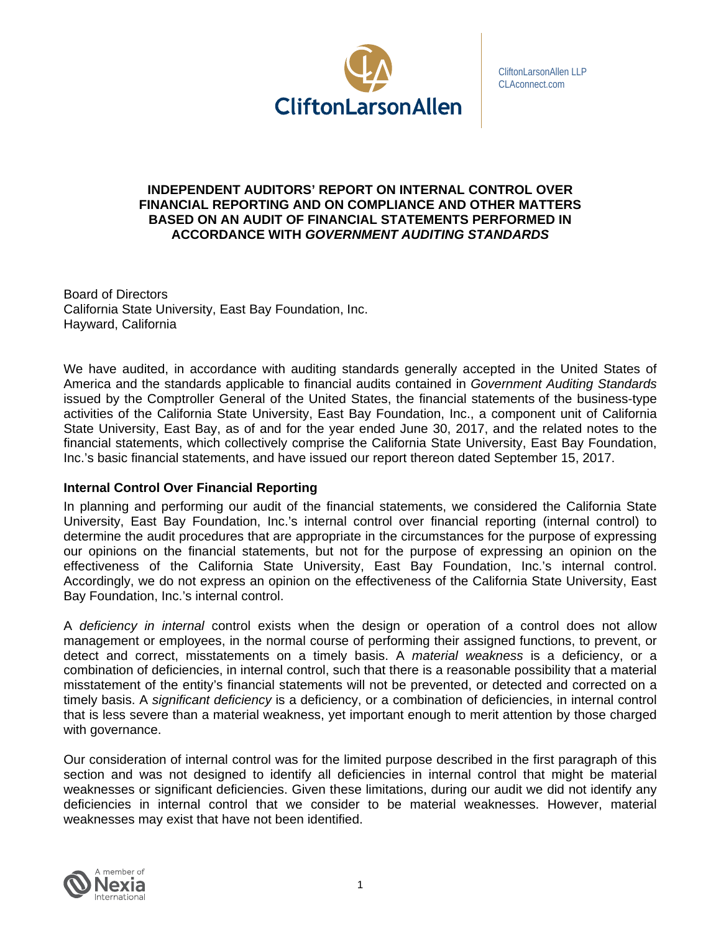

CliftonLarsonAllen LLP CLAconnect.com

## **INDEPENDENT AUDITORS' REPORT ON INTERNAL CONTROL OVER FINANCIAL REPORTING AND ON COMPLIANCE AND OTHER MATTERS BASED ON AN AUDIT OF FINANCIAL STATEMENTS PERFORMED IN ACCORDANCE WITH** *GOVERNMENT AUDITING STANDARDS*

Board of Directors California State University, East Bay Foundation, Inc. Hayward, California

We have audited, in accordance with auditing standards generally accepted in the United States of America and the standards applicable to financial audits contained in *Government Auditing Standards*  issued by the Comptroller General of the United States, the financial statements of the business-type activities of the California State University, East Bay Foundation, Inc., a component unit of California State University, East Bay, as of and for the year ended June 30, 2017, and the related notes to the financial statements, which collectively comprise the California State University, East Bay Foundation, Inc.'s basic financial statements, and have issued our report thereon dated September 15, 2017.

## **Internal Control Over Financial Reporting**

In planning and performing our audit of the financial statements, we considered the California State University, East Bay Foundation, Inc.'s internal control over financial reporting (internal control) to determine the audit procedures that are appropriate in the circumstances for the purpose of expressing our opinions on the financial statements, but not for the purpose of expressing an opinion on the effectiveness of the California State University, East Bay Foundation, Inc.'s internal control. Accordingly, we do not express an opinion on the effectiveness of the California State University, East Bay Foundation, Inc.'s internal control.

A *deficiency in internal* control exists when the design or operation of a control does not allow management or employees, in the normal course of performing their assigned functions, to prevent, or detect and correct, misstatements on a timely basis. A *material weakness* is a deficiency, or a combination of deficiencies, in internal control, such that there is a reasonable possibility that a material misstatement of the entity's financial statements will not be prevented, or detected and corrected on a timely basis. A *significant deficiency* is a deficiency, or a combination of deficiencies, in internal control that is less severe than a material weakness, yet important enough to merit attention by those charged with governance.

Our consideration of internal control was for the limited purpose described in the first paragraph of this section and was not designed to identify all deficiencies in internal control that might be material weaknesses or significant deficiencies. Given these limitations, during our audit we did not identify any deficiencies in internal control that we consider to be material weaknesses. However, material weaknesses may exist that have not been identified.

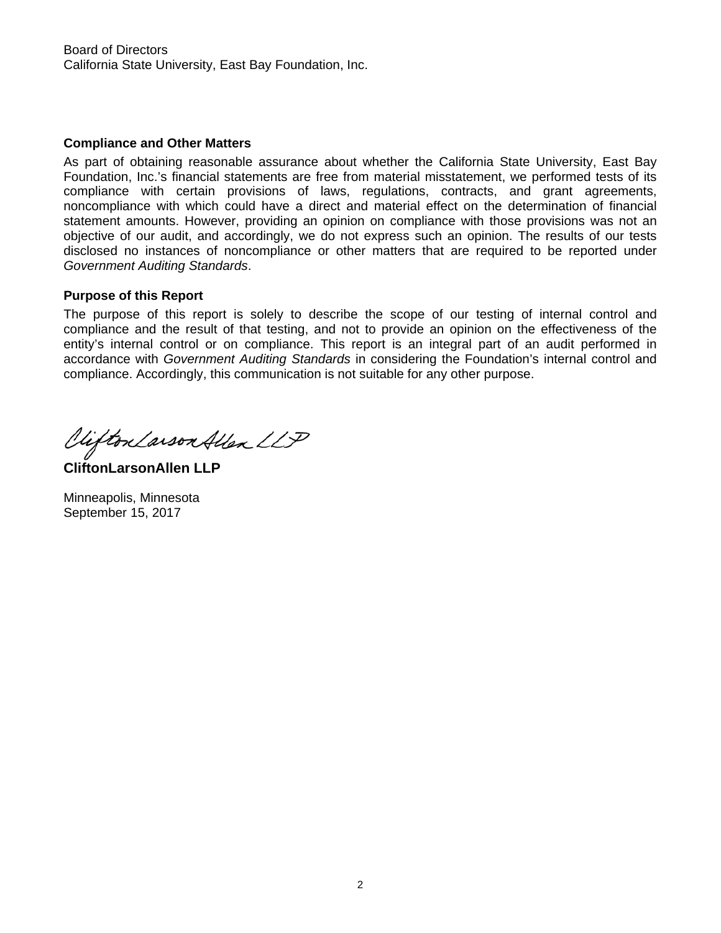### **Compliance and Other Matters**

As part of obtaining reasonable assurance about whether the California State University, East Bay Foundation, Inc.'s financial statements are free from material misstatement, we performed tests of its compliance with certain provisions of laws, regulations, contracts, and grant agreements, noncompliance with which could have a direct and material effect on the determination of financial statement amounts. However, providing an opinion on compliance with those provisions was not an objective of our audit, and accordingly, we do not express such an opinion. The results of our tests disclosed no instances of noncompliance or other matters that are required to be reported under *Government Auditing Standards*.

### **Purpose of this Report**

The purpose of this report is solely to describe the scope of our testing of internal control and compliance and the result of that testing, and not to provide an opinion on the effectiveness of the entity's internal control or on compliance. This report is an integral part of an audit performed in accordance with *Government Auditing Standards* in considering the Foundation's internal control and compliance. Accordingly, this communication is not suitable for any other purpose.

Viifton Larson Allen LLP

**CliftonLarsonAllen LLP** 

Minneapolis, Minnesota September 15, 2017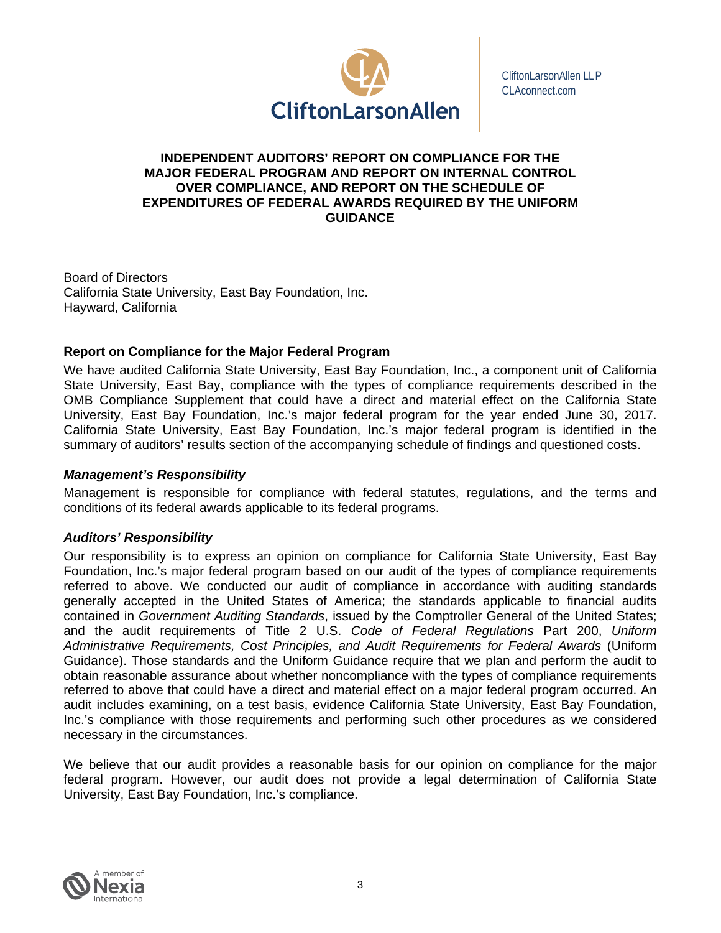

CliftonLarsonAllen LLP CLAconnect.com

## **INDEPENDENT AUDITORS' REPORT ON COMPLIANCE FOR THE MAJOR FEDERAL PROGRAM AND REPORT ON INTERNAL CONTROL OVER COMPLIANCE, AND REPORT ON THE SCHEDULE OF EXPENDITURES OF FEDERAL AWARDS REQUIRED BY THE UNIFORM GUIDANCE**

Board of Directors California State University, East Bay Foundation, Inc. Hayward, California

### **Report on Compliance for the Major Federal Program**

We have audited California State University, East Bay Foundation, Inc., a component unit of California State University, East Bay, compliance with the types of compliance requirements described in the OMB Compliance Supplement that could have a direct and material effect on the California State University, East Bay Foundation, Inc.'s major federal program for the year ended June 30, 2017. California State University, East Bay Foundation, Inc.'s major federal program is identified in the summary of auditors' results section of the accompanying schedule of findings and questioned costs.

### *Management's Responsibility*

Management is responsible for compliance with federal statutes, regulations, and the terms and conditions of its federal awards applicable to its federal programs.

#### *Auditors' Responsibility*

Our responsibility is to express an opinion on compliance for California State University, East Bay Foundation, Inc.'s major federal program based on our audit of the types of compliance requirements referred to above. We conducted our audit of compliance in accordance with auditing standards generally accepted in the United States of America; the standards applicable to financial audits contained in *Government Auditing Standards*, issued by the Comptroller General of the United States; and the audit requirements of Title 2 U.S. *Code of Federal Regulations* Part 200, *Uniform Administrative Requirements, Cost Principles, and Audit Requirements for Federal Awards* (Uniform Guidance). Those standards and the Uniform Guidance require that we plan and perform the audit to obtain reasonable assurance about whether noncompliance with the types of compliance requirements referred to above that could have a direct and material effect on a major federal program occurred. An audit includes examining, on a test basis, evidence California State University, East Bay Foundation, Inc.'s compliance with those requirements and performing such other procedures as we considered necessary in the circumstances.

We believe that our audit provides a reasonable basis for our opinion on compliance for the major federal program. However, our audit does not provide a legal determination of California State University, East Bay Foundation, Inc.'s compliance.

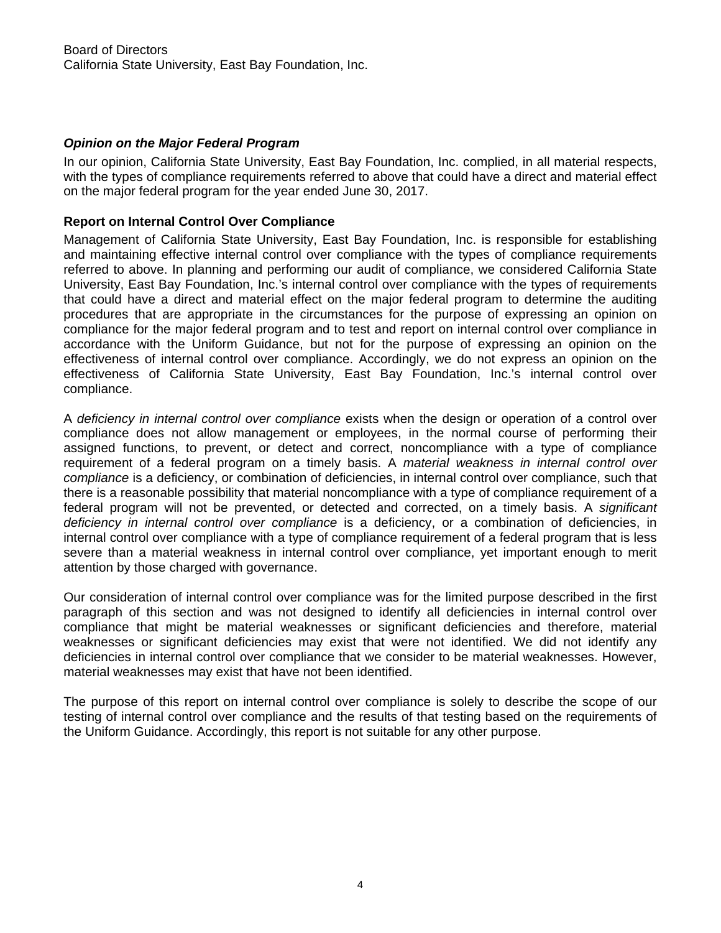## *Opinion on the Major Federal Program*

In our opinion, California State University, East Bay Foundation, Inc. complied, in all material respects, with the types of compliance requirements referred to above that could have a direct and material effect on the major federal program for the year ended June 30, 2017.

## **Report on Internal Control Over Compliance**

Management of California State University, East Bay Foundation, Inc. is responsible for establishing and maintaining effective internal control over compliance with the types of compliance requirements referred to above. In planning and performing our audit of compliance, we considered California State University, East Bay Foundation, Inc.'s internal control over compliance with the types of requirements that could have a direct and material effect on the major federal program to determine the auditing procedures that are appropriate in the circumstances for the purpose of expressing an opinion on compliance for the major federal program and to test and report on internal control over compliance in accordance with the Uniform Guidance, but not for the purpose of expressing an opinion on the effectiveness of internal control over compliance. Accordingly, we do not express an opinion on the effectiveness of California State University, East Bay Foundation, Inc.'s internal control over compliance.

A *deficiency in internal control over compliance* exists when the design or operation of a control over compliance does not allow management or employees, in the normal course of performing their assigned functions, to prevent, or detect and correct, noncompliance with a type of compliance requirement of a federal program on a timely basis. A *material weakness in internal control over compliance* is a deficiency, or combination of deficiencies, in internal control over compliance, such that there is a reasonable possibility that material noncompliance with a type of compliance requirement of a federal program will not be prevented, or detected and corrected, on a timely basis. A *significant deficiency in internal control over compliance* is a deficiency, or a combination of deficiencies, in internal control over compliance with a type of compliance requirement of a federal program that is less severe than a material weakness in internal control over compliance, yet important enough to merit attention by those charged with governance.

Our consideration of internal control over compliance was for the limited purpose described in the first paragraph of this section and was not designed to identify all deficiencies in internal control over compliance that might be material weaknesses or significant deficiencies and therefore, material weaknesses or significant deficiencies may exist that were not identified. We did not identify any deficiencies in internal control over compliance that we consider to be material weaknesses. However, material weaknesses may exist that have not been identified.

The purpose of this report on internal control over compliance is solely to describe the scope of our testing of internal control over compliance and the results of that testing based on the requirements of the Uniform Guidance. Accordingly, this report is not suitable for any other purpose.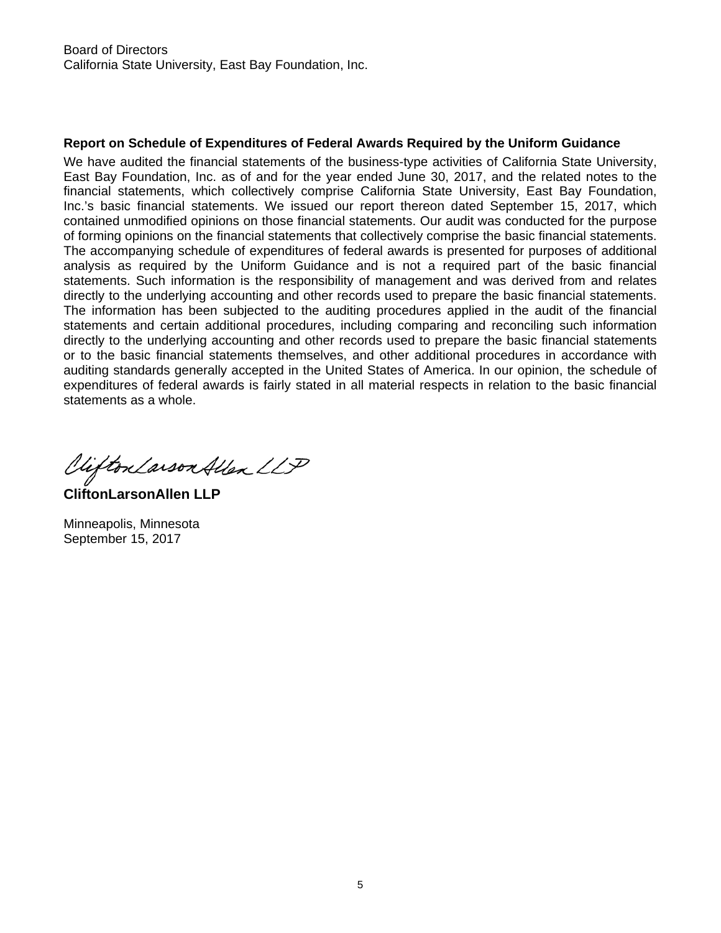## **Report on Schedule of Expenditures of Federal Awards Required by the Uniform Guidance**

We have audited the financial statements of the business-type activities of California State University, East Bay Foundation, Inc. as of and for the year ended June 30, 2017, and the related notes to the financial statements, which collectively comprise California State University, East Bay Foundation, Inc.'s basic financial statements. We issued our report thereon dated September 15, 2017, which contained unmodified opinions on those financial statements. Our audit was conducted for the purpose of forming opinions on the financial statements that collectively comprise the basic financial statements. The accompanying schedule of expenditures of federal awards is presented for purposes of additional analysis as required by the Uniform Guidance and is not a required part of the basic financial statements. Such information is the responsibility of management and was derived from and relates directly to the underlying accounting and other records used to prepare the basic financial statements. The information has been subjected to the auditing procedures applied in the audit of the financial statements and certain additional procedures, including comparing and reconciling such information directly to the underlying accounting and other records used to prepare the basic financial statements or to the basic financial statements themselves, and other additional procedures in accordance with auditing standards generally accepted in the United States of America. In our opinion, the schedule of expenditures of federal awards is fairly stated in all material respects in relation to the basic financial statements as a whole.

Viifton Larson Allen LLP

**CliftonLarsonAllen LLP** 

Minneapolis, Minnesota September 15, 2017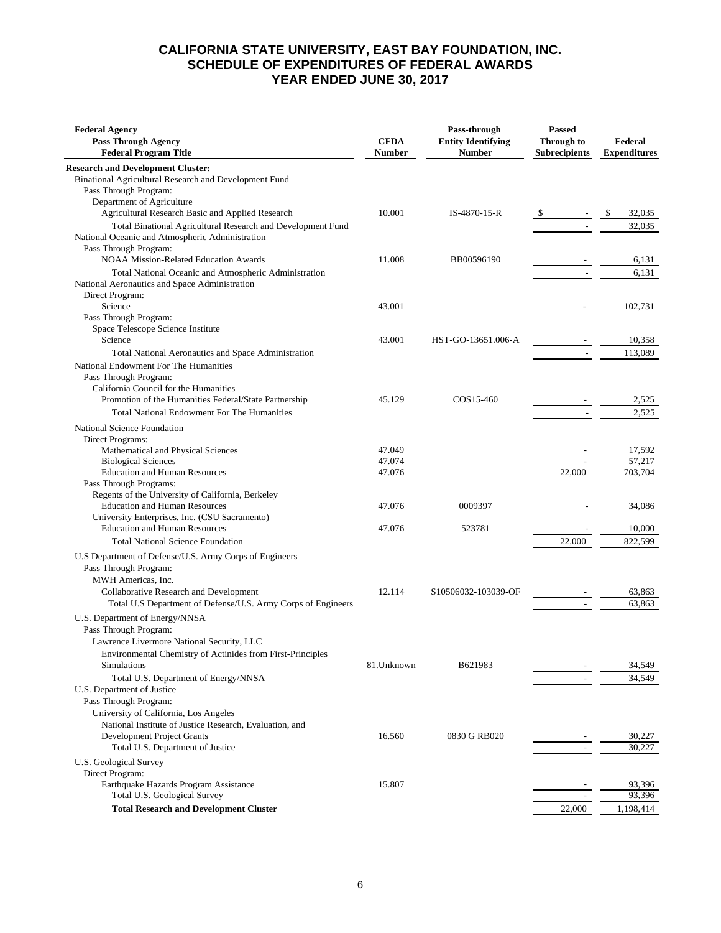#### **CALIFORNIA STATE UNIVERSITY, EAST BAY FOUNDATION, INC. SCHEDULE OF EXPENDITURES OF FEDERAL AWARDS YEAR ENDED JUNE 30, 2017**

| <b>Federal Agency</b><br><b>Pass Through Agency</b><br><b>Federal Program Title</b>       | <b>CFDA</b><br><b>Number</b> | Pass-through<br><b>Entity Identifying</b><br><b>Number</b> | <b>Passed</b><br><b>Through to</b><br><b>Subrecipients</b> | Federal<br><b>Expenditures</b> |
|-------------------------------------------------------------------------------------------|------------------------------|------------------------------------------------------------|------------------------------------------------------------|--------------------------------|
| <b>Research and Development Cluster:</b>                                                  |                              |                                                            |                                                            |                                |
| Binational Agricultural Research and Development Fund                                     |                              |                                                            |                                                            |                                |
| Pass Through Program:                                                                     |                              |                                                            |                                                            |                                |
| Department of Agriculture                                                                 |                              |                                                            |                                                            |                                |
| Agricultural Research Basic and Applied Research                                          | 10.001                       | $IS-4870-15-R$                                             | - \$                                                       | \$<br>32,035                   |
| Total Binational Agricultural Research and Development Fund                               |                              |                                                            |                                                            | 32,035                         |
| National Oceanic and Atmospheric Administration                                           |                              |                                                            |                                                            |                                |
| Pass Through Program:                                                                     |                              |                                                            |                                                            |                                |
| <b>NOAA Mission-Related Education Awards</b>                                              | 11.008                       | BB00596190                                                 |                                                            | 6,131                          |
| Total National Oceanic and Atmospheric Administration                                     |                              |                                                            |                                                            | 6,131                          |
| National Aeronautics and Space Administration                                             |                              |                                                            |                                                            |                                |
| Direct Program:                                                                           |                              |                                                            |                                                            |                                |
| Science                                                                                   | 43.001                       |                                                            |                                                            | 102,731                        |
| Pass Through Program:                                                                     |                              |                                                            |                                                            |                                |
| Space Telescope Science Institute<br>Science                                              | 43.001                       | HST-GO-13651.006-A                                         |                                                            | 10,358                         |
|                                                                                           |                              |                                                            |                                                            |                                |
| Total National Aeronautics and Space Administration                                       |                              |                                                            |                                                            | 113,089                        |
| National Endowment For The Humanities                                                     |                              |                                                            |                                                            |                                |
| Pass Through Program:                                                                     |                              |                                                            |                                                            |                                |
| California Council for the Humanities                                                     | 45.129                       | COS15-460                                                  |                                                            |                                |
| Promotion of the Humanities Federal/State Partnership                                     |                              |                                                            |                                                            | 2,525                          |
| <b>Total National Endowment For The Humanities</b>                                        |                              |                                                            | $\sim$                                                     | 2,525                          |
| National Science Foundation                                                               |                              |                                                            |                                                            |                                |
| Direct Programs:                                                                          |                              |                                                            |                                                            |                                |
| Mathematical and Physical Sciences                                                        | 47.049                       |                                                            |                                                            | 17,592                         |
| <b>Biological Sciences</b>                                                                | 47.074                       |                                                            |                                                            | 57,217                         |
| <b>Education and Human Resources</b>                                                      | 47.076                       |                                                            | 22,000                                                     | 703,704                        |
| Pass Through Programs:                                                                    |                              |                                                            |                                                            |                                |
| Regents of the University of California, Berkeley<br><b>Education and Human Resources</b> | 47.076                       | 0009397                                                    |                                                            | 34,086                         |
| University Enterprises, Inc. (CSU Sacramento)                                             |                              |                                                            |                                                            |                                |
| <b>Education and Human Resources</b>                                                      | 47.076                       | 523781                                                     |                                                            | 10,000                         |
| <b>Total National Science Foundation</b>                                                  |                              |                                                            | 22,000                                                     | 822,599                        |
|                                                                                           |                              |                                                            |                                                            |                                |
| U.S Department of Defense/U.S. Army Corps of Engineers                                    |                              |                                                            |                                                            |                                |
| Pass Through Program:                                                                     |                              |                                                            |                                                            |                                |
| MWH Americas, Inc.                                                                        |                              |                                                            |                                                            |                                |
| Collaborative Research and Development                                                    | 12.114                       | S10506032-103039-OF                                        |                                                            | 63.863                         |
| Total U.S Department of Defense/U.S. Army Corps of Engineers                              |                              |                                                            | $\overline{\phantom{a}}$                                   | 63,863                         |
| U.S. Department of Energy/NNSA                                                            |                              |                                                            |                                                            |                                |
| Pass Through Program:                                                                     |                              |                                                            |                                                            |                                |
| Lawrence Livermore National Security, LLC                                                 |                              |                                                            |                                                            |                                |
| Environmental Chemistry of Actinides from First-Principles                                |                              |                                                            |                                                            |                                |
| <b>Simulations</b>                                                                        | 81. Unknown                  | B621983                                                    |                                                            | 34,549                         |
| Total U.S. Department of Energy/NNSA                                                      |                              |                                                            |                                                            | 34,549                         |
| U.S. Department of Justice                                                                |                              |                                                            |                                                            |                                |
| Pass Through Program:                                                                     |                              |                                                            |                                                            |                                |
| University of California, Los Angeles                                                     |                              |                                                            |                                                            |                                |
| National Institute of Justice Research, Evaluation, and                                   |                              |                                                            |                                                            |                                |
| Development Project Grants                                                                | 16.560                       | 0830 G RB020                                               |                                                            | 30,227                         |
| Total U.S. Department of Justice                                                          |                              |                                                            |                                                            | 30,227                         |
| U.S. Geological Survey                                                                    |                              |                                                            |                                                            |                                |
| Direct Program:                                                                           |                              |                                                            |                                                            |                                |
| Earthquake Hazards Program Assistance                                                     | 15.807                       |                                                            |                                                            | 93,396                         |
| Total U.S. Geological Survey                                                              |                              |                                                            |                                                            | 93,396                         |
| <b>Total Research and Development Cluster</b>                                             |                              |                                                            | 22,000                                                     | 1,198,414                      |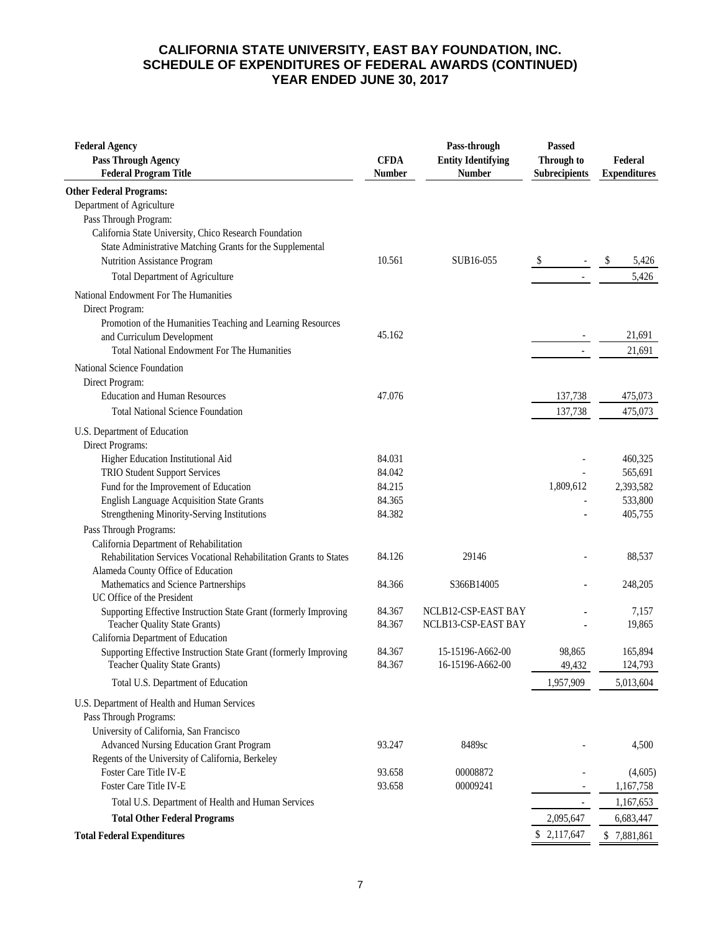#### **CALIFORNIA STATE UNIVERSITY, EAST BAY FOUNDATION, INC. SCHEDULE OF EXPENDITURES OF FEDERAL AWARDS (CONTINUED) YEAR ENDED JUNE 30, 2017**

| <b>Federal Agency</b><br><b>Pass Through Agency</b><br><b>Federal Program Title</b>                           | <b>CFDA</b><br><b>Number</b> | Pass-through<br><b>Entity Identifying</b><br><b>Number</b> | <b>Passed</b><br>Through to<br><b>Subrecipients</b> | Federal<br><b>Expenditures</b> |
|---------------------------------------------------------------------------------------------------------------|------------------------------|------------------------------------------------------------|-----------------------------------------------------|--------------------------------|
| <b>Other Federal Programs:</b>                                                                                |                              |                                                            |                                                     |                                |
| Department of Agriculture                                                                                     |                              |                                                            |                                                     |                                |
| Pass Through Program:                                                                                         |                              |                                                            |                                                     |                                |
| California State University, Chico Research Foundation                                                        |                              |                                                            |                                                     |                                |
| State Administrative Matching Grants for the Supplemental                                                     |                              |                                                            |                                                     |                                |
| Nutrition Assistance Program                                                                                  | 10.561                       | SUB16-055                                                  | <sup>\$</sup>                                       | \$<br>5,426                    |
| <b>Total Department of Agriculture</b>                                                                        |                              |                                                            |                                                     | 5,426                          |
| National Endowment For The Humanities<br>Direct Program:                                                      |                              |                                                            |                                                     |                                |
| Promotion of the Humanities Teaching and Learning Resources                                                   |                              |                                                            |                                                     |                                |
| and Curriculum Development                                                                                    | 45.162                       |                                                            |                                                     | 21,691                         |
| <b>Total National Endowment For The Humanities</b>                                                            |                              |                                                            |                                                     | 21,691                         |
| National Science Foundation                                                                                   |                              |                                                            |                                                     |                                |
| Direct Program:                                                                                               |                              |                                                            |                                                     |                                |
| <b>Education and Human Resources</b>                                                                          | 47.076                       |                                                            | 137,738                                             | 475,073                        |
| <b>Total National Science Foundation</b>                                                                      |                              |                                                            | 137,738                                             | 475,073                        |
| U.S. Department of Education                                                                                  |                              |                                                            |                                                     |                                |
| Direct Programs:                                                                                              |                              |                                                            |                                                     |                                |
| Higher Education Institutional Aid                                                                            | 84.031                       |                                                            |                                                     | 460,325                        |
| <b>TRIO Student Support Services</b>                                                                          | 84.042                       |                                                            |                                                     | 565,691                        |
| Fund for the Improvement of Education                                                                         | 84.215                       |                                                            | 1,809,612                                           | 2,393,582                      |
| <b>English Language Acquisition State Grants</b>                                                              | 84.365                       |                                                            |                                                     | 533,800                        |
| Strengthening Minority-Serving Institutions                                                                   | 84.382                       |                                                            |                                                     | 405,755                        |
| Pass Through Programs:                                                                                        |                              |                                                            |                                                     |                                |
| California Department of Rehabilitation<br>Rehabilitation Services Vocational Rehabilitation Grants to States | 84.126                       | 29146                                                      |                                                     | 88,537                         |
| Alameda County Office of Education                                                                            |                              |                                                            |                                                     |                                |
| Mathematics and Science Partnerships                                                                          | 84.366                       | S366B14005                                                 |                                                     | 248,205                        |
| UC Office of the President                                                                                    |                              |                                                            |                                                     |                                |
| Supporting Effective Instruction State Grant (formerly Improving                                              | 84.367                       | NCLB12-CSP-EAST BAY                                        |                                                     | 7,157                          |
| <b>Teacher Quality State Grants)</b>                                                                          | 84.367                       | NCLB13-CSP-EAST BAY                                        |                                                     | 19,865                         |
| California Department of Education                                                                            |                              |                                                            |                                                     |                                |
| Supporting Effective Instruction State Grant (formerly Improving                                              | 84.367                       | 15-15196-A662-00                                           | 98,865                                              | 165,894                        |
| Teacher Quality State Grants)                                                                                 | 84.367                       | 16-15196-A662-00                                           | 49,432                                              | 124,793                        |
| Total U.S. Department of Education                                                                            |                              |                                                            | 1,957,909                                           | 5,013,604                      |
| U.S. Department of Health and Human Services                                                                  |                              |                                                            |                                                     |                                |
| Pass Through Programs:                                                                                        |                              |                                                            |                                                     |                                |
| University of California, San Francisco                                                                       |                              |                                                            |                                                     |                                |
| <b>Advanced Nursing Education Grant Program</b>                                                               | 93.247                       | 8489sc                                                     |                                                     | 4,500                          |
| Regents of the University of California, Berkeley                                                             |                              |                                                            |                                                     |                                |
| Foster Care Title IV-E                                                                                        | 93.658                       | 00008872                                                   |                                                     | (4,605)                        |
| Foster Care Title IV-E                                                                                        | 93.658                       | 00009241                                                   |                                                     | 1,167,758                      |
| Total U.S. Department of Health and Human Services                                                            |                              |                                                            |                                                     | 1,167,653                      |
| <b>Total Other Federal Programs</b>                                                                           |                              |                                                            | 2,095,647                                           | 6,683,447                      |
| <b>Total Federal Expenditures</b>                                                                             |                              |                                                            | \$2,117,647                                         | \$7,881,861                    |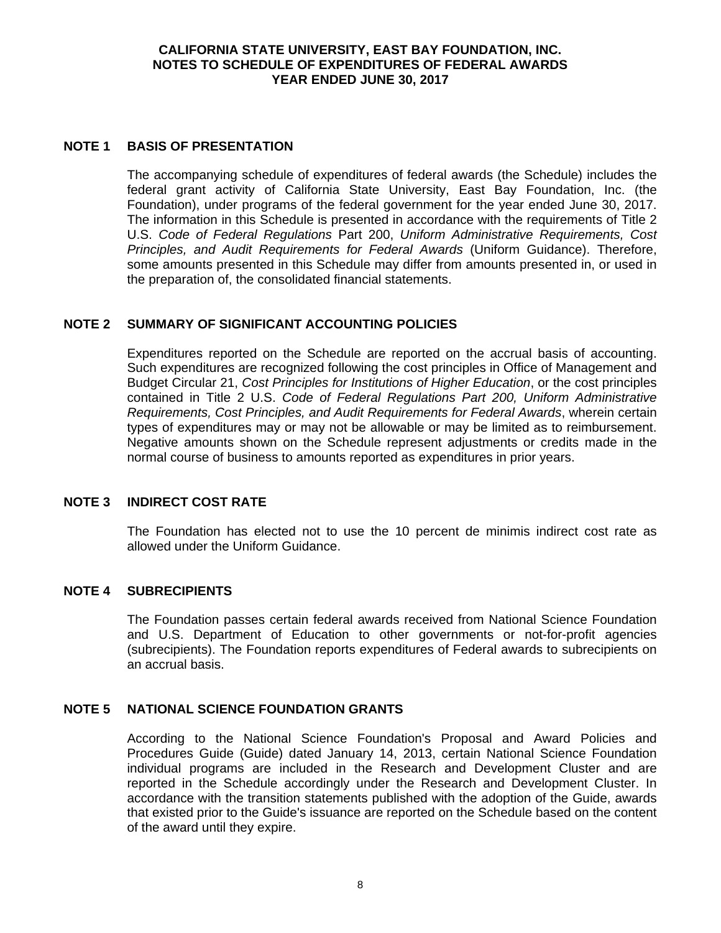#### **CALIFORNIA STATE UNIVERSITY, EAST BAY FOUNDATION, INC. NOTES TO SCHEDULE OF EXPENDITURES OF FEDERAL AWARDS YEAR ENDED JUNE 30, 2017**

### **NOTE 1 BASIS OF PRESENTATION**

The accompanying schedule of expenditures of federal awards (the Schedule) includes the federal grant activity of California State University, East Bay Foundation, Inc. (the Foundation), under programs of the federal government for the year ended June 30, 2017. The information in this Schedule is presented in accordance with the requirements of Title 2 U.S. *Code of Federal Regulations* Part 200, *Uniform Administrative Requirements, Cost Principles, and Audit Requirements for Federal Awards* (Uniform Guidance). Therefore, some amounts presented in this Schedule may differ from amounts presented in, or used in the preparation of, the consolidated financial statements.

## **NOTE 2 SUMMARY OF SIGNIFICANT ACCOUNTING POLICIES**

Expenditures reported on the Schedule are reported on the accrual basis of accounting. Such expenditures are recognized following the cost principles in Office of Management and Budget Circular 21, *Cost Principles for Institutions of Higher Education*, or the cost principles contained in Title 2 U.S. *Code of Federal Regulations Part 200, Uniform Administrative Requirements, Cost Principles, and Audit Requirements for Federal Awards*, wherein certain types of expenditures may or may not be allowable or may be limited as to reimbursement. Negative amounts shown on the Schedule represent adjustments or credits made in the normal course of business to amounts reported as expenditures in prior years.

### **NOTE 3 INDIRECT COST RATE**

The Foundation has elected not to use the 10 percent de minimis indirect cost rate as allowed under the Uniform Guidance.

### **NOTE 4 SUBRECIPIENTS**

The Foundation passes certain federal awards received from National Science Foundation and U.S. Department of Education to other governments or not-for-profit agencies (subrecipients). The Foundation reports expenditures of Federal awards to subrecipients on an accrual basis.

#### **NOTE 5 NATIONAL SCIENCE FOUNDATION GRANTS**

According to the National Science Foundation's Proposal and Award Policies and Procedures Guide (Guide) dated January 14, 2013, certain National Science Foundation individual programs are included in the Research and Development Cluster and are reported in the Schedule accordingly under the Research and Development Cluster. In accordance with the transition statements published with the adoption of the Guide, awards that existed prior to the Guide's issuance are reported on the Schedule based on the content of the award until they expire.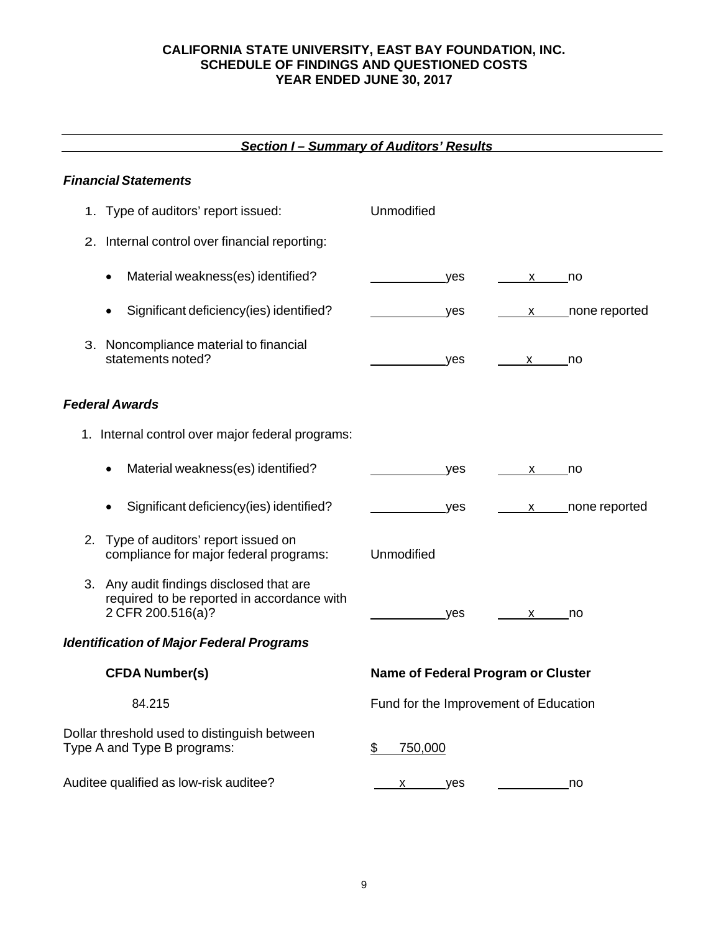## **CALIFORNIA STATE UNIVERSITY, EAST BAY FOUNDATION, INC. SCHEDULE OF FINDINGS AND QUESTIONED COSTS YEAR ENDED JUNE 30, 2017**

# *Section I – Summary of Auditors' Results*

## *Financial Statements*

| 1. Type of auditors' report issued:                                                                         | Unmodified                                                                                                                                                                                                                                                                                                               |
|-------------------------------------------------------------------------------------------------------------|--------------------------------------------------------------------------------------------------------------------------------------------------------------------------------------------------------------------------------------------------------------------------------------------------------------------------|
| 2. Internal control over financial reporting:                                                               |                                                                                                                                                                                                                                                                                                                          |
| Material weakness(es) identified?<br>$\bullet$                                                              | ves<br>no<br>X                                                                                                                                                                                                                                                                                                           |
| Significant deficiency(ies) identified?                                                                     | none reported<br>yes<br>$\mathsf{X}$ and $\mathsf{X}$ and $\mathsf{X}$ are $\mathsf{X}$ and $\mathsf{X}$ are $\mathsf{X}$ and $\mathsf{X}$ are $\mathsf{X}$ and $\mathsf{X}$ are $\mathsf{X}$ and $\mathsf{X}$ are $\mathsf{X}$ and $\mathsf{X}$ are $\mathsf{X}$ and $\mathsf{X}$ are $\mathsf{X}$ and $\mathsf{X}$ are |
| 3. Noncompliance material to financial<br>statements noted?                                                 | yes<br>$\mathsf{X}$ and $\mathsf{X}$ and $\mathsf{X}$ are $\mathsf{X}$ and $\mathsf{X}$ are $\mathsf{X}$ and $\mathsf{X}$ are $\mathsf{X}$ and $\mathsf{X}$ are $\mathsf{X}$ and $\mathsf{X}$ are $\mathsf{X}$ and $\mathsf{X}$ are $\mathsf{X}$ and $\mathsf{X}$ are $\mathsf{X}$ and $\mathsf{X}$ are<br>no            |
| <b>Federal Awards</b>                                                                                       |                                                                                                                                                                                                                                                                                                                          |
| 1. Internal control over major federal programs:                                                            |                                                                                                                                                                                                                                                                                                                          |
| Material weakness(es) identified?                                                                           | yes<br>no<br>X                                                                                                                                                                                                                                                                                                           |
| Significant deficiency(ies) identified?<br>$\bullet$                                                        | none reported<br>yes<br>$\mathsf{X}$                                                                                                                                                                                                                                                                                     |
| 2. Type of auditors' report issued on<br>compliance for major federal programs:                             | Unmodified                                                                                                                                                                                                                                                                                                               |
| 3. Any audit findings disclosed that are<br>required to be reported in accordance with<br>2 CFR 200.516(a)? | yes<br>no<br>$\mathsf{X}$ and $\mathsf{X}$ and $\mathsf{X}$ are $\mathsf{X}$ and $\mathsf{X}$ are $\mathsf{X}$ and $\mathsf{X}$ are $\mathsf{X}$ and $\mathsf{X}$ are $\mathsf{X}$ and $\mathsf{X}$ are $\mathsf{X}$ and $\mathsf{X}$ are $\mathsf{X}$ and $\mathsf{X}$ are $\mathsf{X}$ and $\mathsf{X}$ are            |
| <b>Identification of Major Federal Programs</b>                                                             |                                                                                                                                                                                                                                                                                                                          |
| <b>CFDA Number(s)</b>                                                                                       | Name of Federal Program or Cluster                                                                                                                                                                                                                                                                                       |
| 84.215                                                                                                      | Fund for the Improvement of Education                                                                                                                                                                                                                                                                                    |
| Dollar threshold used to distinguish between<br>Type A and Type B programs:                                 | \$<br>750,000                                                                                                                                                                                                                                                                                                            |
| Auditee qualified as low-risk auditee?                                                                      | no<br>x yes                                                                                                                                                                                                                                                                                                              |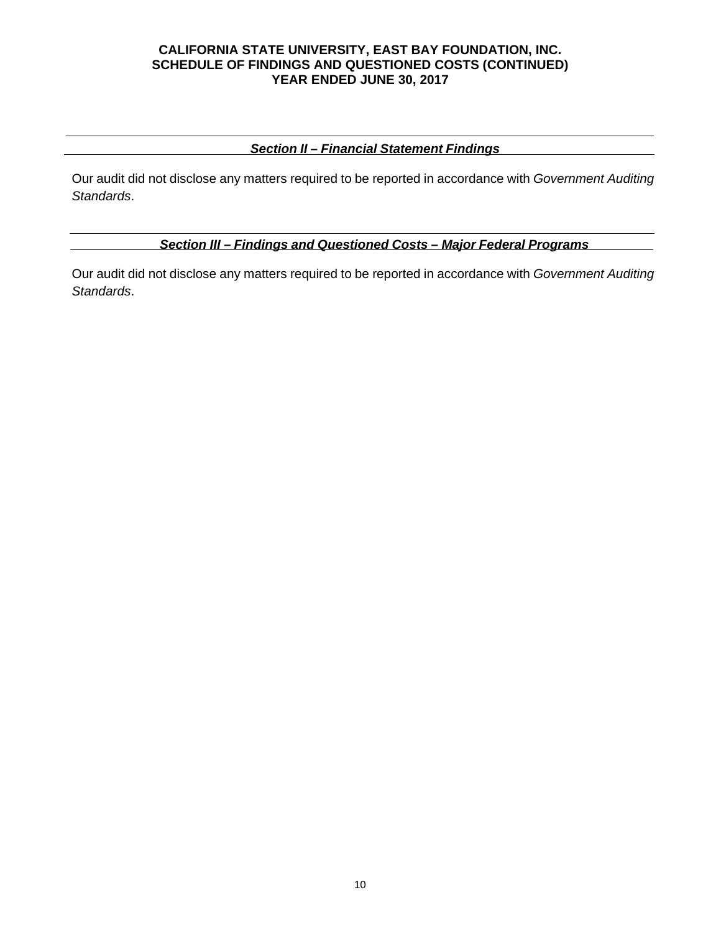### **CALIFORNIA STATE UNIVERSITY, EAST BAY FOUNDATION, INC. SCHEDULE OF FINDINGS AND QUESTIONED COSTS (CONTINUED) YEAR ENDED JUNE 30, 2017**

## *Section II – Financial Statement Findings*

Our audit did not disclose any matters required to be reported in accordance with *Government Auditing Standards*.

## *Section III – Findings and Questioned Costs – Major Federal Programs*

Our audit did not disclose any matters required to be reported in accordance with *Government Auditing Standards*.